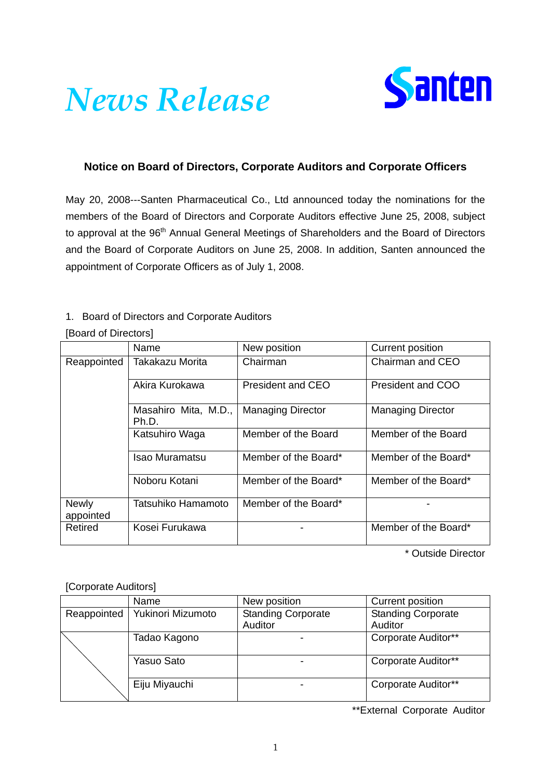# *News Release*



# **Notice on Board of Directors, Corporate Auditors and Corporate Officers**

May 20, 2008---Santen Pharmaceutical Co., Ltd announced today the nominations for the members of the Board of Directors and Corporate Auditors effective June 25, 2008, subject to approval at the 96<sup>th</sup> Annual General Meetings of Shareholders and the Board of Directors and the Board of Corporate Auditors on June 25, 2008. In addition, Santen announced the appointment of Corporate Officers as of July 1, 2008.

## 1. Board of Directors and Corporate Auditors

### [Board of Directors]

|                           | Name                          | New position             | Current position         |
|---------------------------|-------------------------------|--------------------------|--------------------------|
| Reappointed               | Takakazu Morita               | Chairman                 | Chairman and CEO         |
|                           | Akira Kurokawa                | <b>President and CEO</b> | President and COO        |
|                           | Masahiro Mita, M.D.,<br>Ph.D. | <b>Managing Director</b> | <b>Managing Director</b> |
|                           | Katsuhiro Waga                | Member of the Board      | Member of the Board      |
|                           | <b>Isao Muramatsu</b>         | Member of the Board*     | Member of the Board*     |
|                           | Noboru Kotani                 | Member of the Board*     | Member of the Board*     |
| <b>Newly</b><br>appointed | Tatsuhiko Hamamoto            | Member of the Board*     |                          |
| Retired                   | Kosei Furukawa                |                          | Member of the Board*     |

\* Outside Director

### [Corporate Auditors]

|             | Name              | New position              | Current position          |
|-------------|-------------------|---------------------------|---------------------------|
| Reappointed | Yukinori Mizumoto | <b>Standing Corporate</b> | <b>Standing Corporate</b> |
|             |                   | Auditor                   | Auditor                   |
|             | Tadao Kagono      |                           | Corporate Auditor**       |
|             | Yasuo Sato        |                           | Corporate Auditor**       |
|             | Eiju Miyauchi     |                           | Corporate Auditor**       |

\*\*External Corporate Auditor